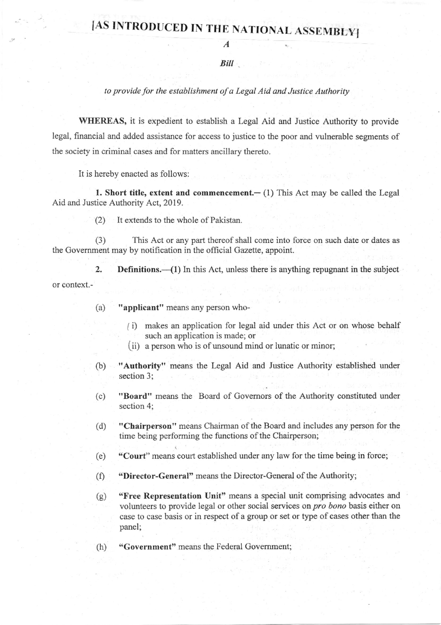## [AS INTRODUCED IN THE NATIONAL ASSEMBLY]

A

**Bill** 

## to provide for the establishment ofa Legal Aid and Justice Authority

WHEREAS, it is expedient to establish a Legal Aid and Justice Authority to provide legal, financial and added assistance for access to justice to the poor and vulnerable segments of the society in criminal cases and for matters ancillary thereto.

It is hereby enacted as follows:

1. Short title, extent and commencement. $-$  (1) This Act may be called the Legal Aid and Justice Authority Act, 2019.

(2) It extends to the whole of Pakistan.

(3) This Act or any part thereof shall come into force on such date or dates as the Government may by notification in the official Gazette, appoint.

2. **Definitions.** $\left(1\right)$  In this Act, unless there is anything repugnant in the subject or context.-

- (a) "applicant" means any person who-
	- (i) makes an application for legal aid under this Act or on whose behalf such an application is made; or
	- (ii) a person who is of unsound mind or lunatic or minor;
- (b) "Authority" means the Legal Aid and Justice Authority established under section 3;
- (c) "Board" means the Board of Govemors of the Authority constituted under section 4;
- (d) "Chairperson" means Chairman of the Board and includes any person for the time being performing the functions of the Chairperson;
- (e) "Court" mears court established under any law for the time being in force;
- $(f)$ "Director-General" means the Director-General of the Authority;
- (e) "Free Representation Unit" means a special unit comprising advocates and volunteers to provide legal or other social services on pro bono basis either on case to case basis or in respect of a group or set or type of cases other than the panel;
- (h) "Government" means the Federal Govemment;